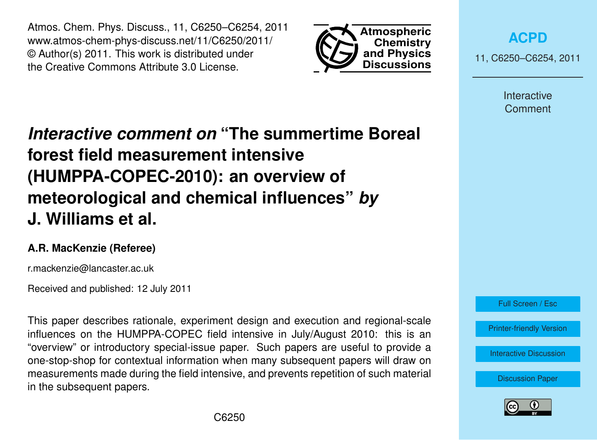Atmos. Chem. Phys. Discuss., 11, C6250–C6254, 2011 www.atmos-chem-phys-discuss.net/11/C6250/2011/ © Author(s) 2011. This work is distributed under the Creative Commons Attribute 3.0 License.



**[ACPD](http://www.atmos-chem-phys-discuss.net)**

11, C6250–C6254, 2011

Interactive **Comment** 

## *Interactive comment on* **"The summertime Boreal forest field measurement intensive (HUMPPA-COPEC-2010): an overview of meteorological and chemical influences"** *by* **J. Williams et al.**

## **A.R. MacKenzie (Referee)**

r.mackenzie@lancaster.ac.uk

Received and published: 12 July 2011

This paper describes rationale, experiment design and execution and regional-scale influences on the HUMPPA-COPEC field intensive in July/August 2010: this is an "overview" or introductory special-issue paper. Such papers are useful to provide a one-stop-shop for contextual information when many subsequent papers will draw on measurements made during the field intensive, and prevents repetition of such material in the subsequent papers.



[Printer-friendly Version](http://www.atmos-chem-phys-discuss.net/11/C6250/2011/acpd-11-C6250-2011-print.pdf)

[Interactive Discussion](http://www.atmos-chem-phys-discuss.net/11/15921/2011/acpd-11-15921-2011-discussion.html)

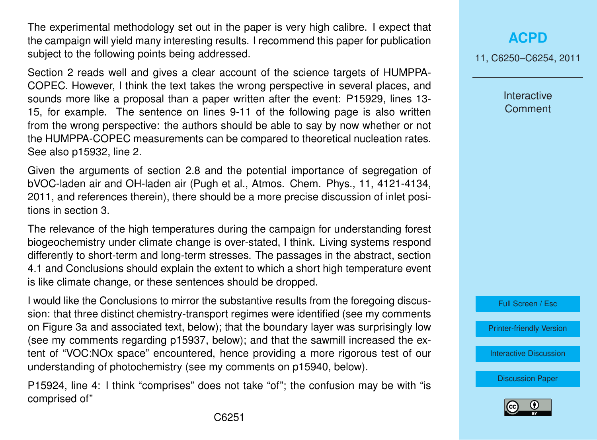The experimental methodology set out in the paper is very high calibre. I expect that the campaign will yield many interesting results. I recommend this paper for publication subject to the following points being addressed.

Section 2 reads well and gives a clear account of the science targets of HUMPPA-COPEC. However, I think the text takes the wrong perspective in several places, and sounds more like a proposal than a paper written after the event: P15929, lines 13- 15, for example. The sentence on lines 9-11 of the following page is also written from the wrong perspective: the authors should be able to say by now whether or not the HUMPPA-COPEC measurements can be compared to theoretical nucleation rates. See also p15932, line 2.

Given the arguments of section 2.8 and the potential importance of segregation of bVOC-laden air and OH-laden air (Pugh et al., Atmos. Chem. Phys., 11, 4121-4134, 2011, and references therein), there should be a more precise discussion of inlet positions in section 3.

The relevance of the high temperatures during the campaign for understanding forest biogeochemistry under climate change is over-stated, I think. Living systems respond differently to short-term and long-term stresses. The passages in the abstract, section 4.1 and Conclusions should explain the extent to which a short high temperature event is like climate change, or these sentences should be dropped.

I would like the Conclusions to mirror the substantive results from the foregoing discussion: that three distinct chemistry-transport regimes were identified (see my comments on Figure 3a and associated text, below); that the boundary layer was surprisingly low (see my comments regarding p15937, below); and that the sawmill increased the extent of "VOC:NOx space" encountered, hence providing a more rigorous test of our understanding of photochemistry (see my comments on p15940, below).

P15924, line 4: I think "comprises" does not take "of"; the confusion may be with "is comprised of"

11, C6250–C6254, 2011

Interactive **Comment** 



[Printer-friendly Version](http://www.atmos-chem-phys-discuss.net/11/C6250/2011/acpd-11-C6250-2011-print.pdf)

[Interactive Discussion](http://www.atmos-chem-phys-discuss.net/11/15921/2011/acpd-11-15921-2011-discussion.html)

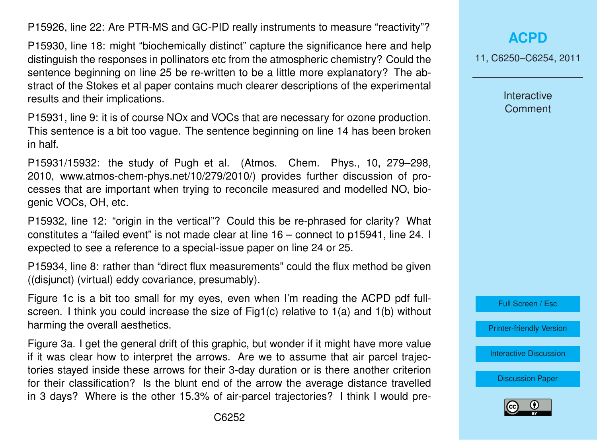P15926, line 22: Are PTR-MS and GC-PID really instruments to measure "reactivity"?

P15930, line 18: might "biochemically distinct" capture the significance here and help distinguish the responses in pollinators etc from the atmospheric chemistry? Could the sentence beginning on line 25 be re-written to be a little more explanatory? The abstract of the Stokes et al paper contains much clearer descriptions of the experimental results and their implications.

P15931, line 9: it is of course NOx and VOCs that are necessary for ozone production. This sentence is a bit too vague. The sentence beginning on line 14 has been broken in half.

P15931/15932: the study of Pugh et al. (Atmos. Chem. Phys., 10, 279–298, 2010, www.atmos-chem-phys.net/10/279/2010/) provides further discussion of processes that are important when trying to reconcile measured and modelled NO, biogenic VOCs, OH, etc.

P15932, line 12: "origin in the vertical"? Could this be re-phrased for clarity? What constitutes a "failed event" is not made clear at line 16 – connect to p15941, line 24. I expected to see a reference to a special-issue paper on line 24 or 25.

P15934, line 8: rather than "direct flux measurements" could the flux method be given ((disjunct) (virtual) eddy covariance, presumably).

Figure 1c is a bit too small for my eyes, even when I'm reading the ACPD pdf fullscreen. I think you could increase the size of Fig1(c) relative to 1(a) and 1(b) without harming the overall aesthetics.

Figure 3a. I get the general drift of this graphic, but wonder if it might have more value if it was clear how to interpret the arrows. Are we to assume that air parcel trajectories stayed inside these arrows for their 3-day duration or is there another criterion for their classification? Is the blunt end of the arrow the average distance travelled in 3 days? Where is the other 15.3% of air-parcel trajectories? I think I would pre11, C6250–C6254, 2011

Interactive **Comment** 



[Printer-friendly Version](http://www.atmos-chem-phys-discuss.net/11/C6250/2011/acpd-11-C6250-2011-print.pdf)

[Interactive Discussion](http://www.atmos-chem-phys-discuss.net/11/15921/2011/acpd-11-15921-2011-discussion.html)

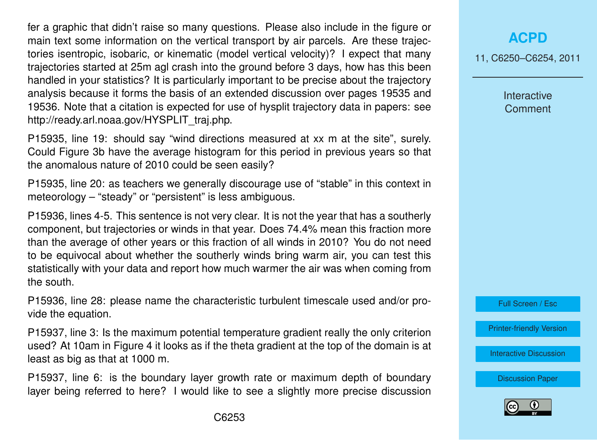fer a graphic that didn't raise so many questions. Please also include in the figure or main text some information on the vertical transport by air parcels. Are these trajectories isentropic, isobaric, or kinematic (model vertical velocity)? I expect that many trajectories started at 25m agl crash into the ground before 3 days, how has this been handled in your statistics? It is particularly important to be precise about the trajectory analysis because it forms the basis of an extended discussion over pages 19535 and 19536. Note that a citation is expected for use of hysplit trajectory data in papers: see http://ready.arl.noaa.gov/HYSPLIT\_traj.php.

P15935, line 19: should say "wind directions measured at xx m at the site", surely. Could Figure 3b have the average histogram for this period in previous years so that the anomalous nature of 2010 could be seen easily?

P15935, line 20: as teachers we generally discourage use of "stable" in this context in meteorology – "steady" or "persistent" is less ambiguous.

P15936, lines 4-5. This sentence is not very clear. It is not the year that has a southerly component, but trajectories or winds in that year. Does 74.4% mean this fraction more than the average of other years or this fraction of all winds in 2010? You do not need to be equivocal about whether the southerly winds bring warm air, you can test this statistically with your data and report how much warmer the air was when coming from the south.

P15936, line 28: please name the characteristic turbulent timescale used and/or provide the equation.

P15937, line 3: Is the maximum potential temperature gradient really the only criterion used? At 10am in Figure 4 it looks as if the theta gradient at the top of the domain is at least as big as that at 1000 m.

P15937, line 6: is the boundary layer growth rate or maximum depth of boundary layer being referred to here? I would like to see a slightly more precise discussion

## **[ACPD](http://www.atmos-chem-phys-discuss.net)**

11, C6250–C6254, 2011

Interactive **Comment** 

Full Screen / Esc

[Printer-friendly Version](http://www.atmos-chem-phys-discuss.net/11/C6250/2011/acpd-11-C6250-2011-print.pdf)

[Interactive Discussion](http://www.atmos-chem-phys-discuss.net/11/15921/2011/acpd-11-15921-2011-discussion.html)